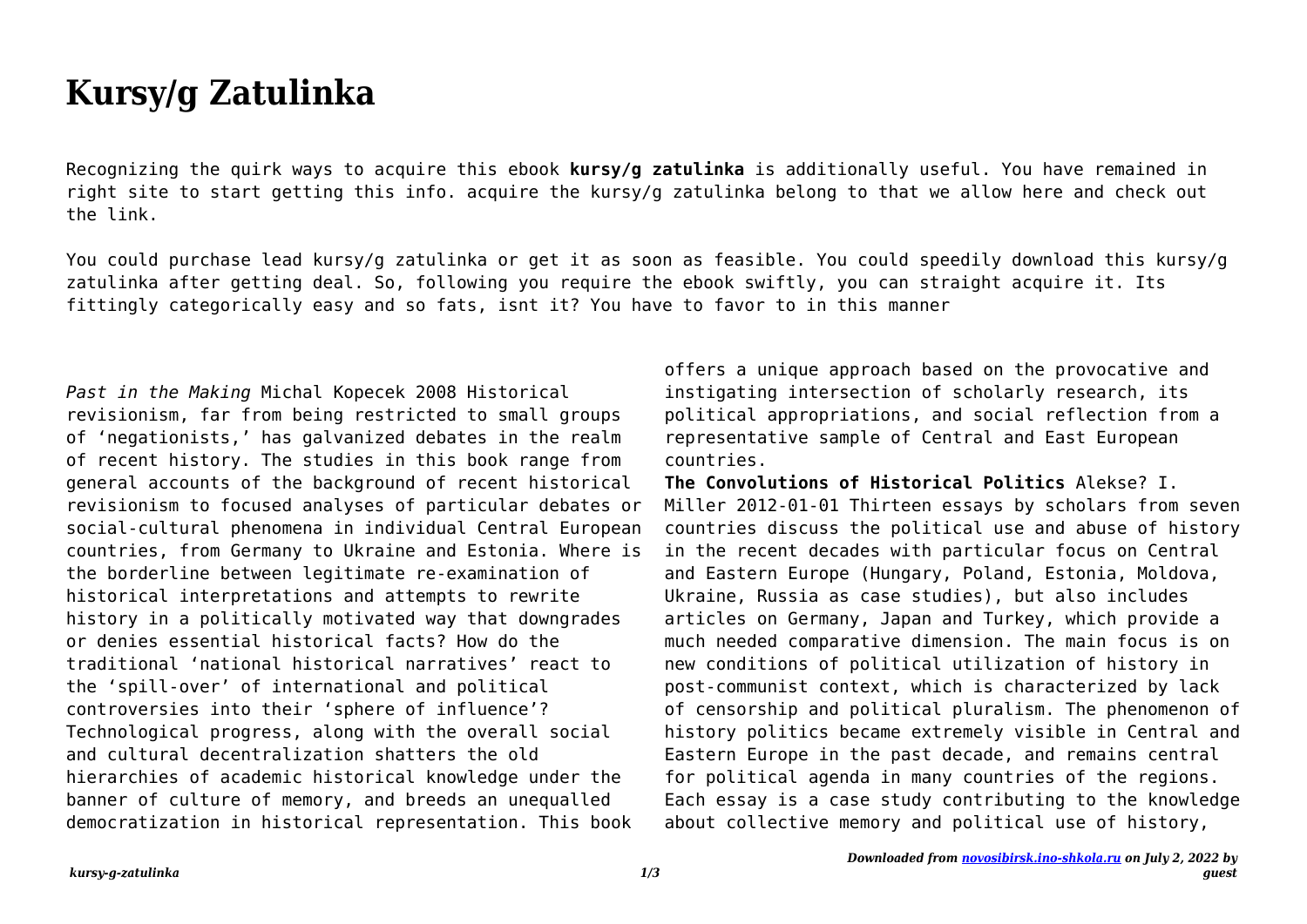## **Kursy/g Zatulinka**

Recognizing the quirk ways to acquire this ebook **kursy/g zatulinka** is additionally useful. You have remained in right site to start getting this info. acquire the kursy/g zatulinka belong to that we allow here and check out the link.

You could purchase lead kursy/g zatulinka or get it as soon as feasible. You could speedily download this kursy/g zatulinka after getting deal. So, following you require the ebook swiftly, you can straight acquire it. Its fittingly categorically easy and so fats, isnt it? You have to favor to in this manner

*Past in the Making* Michal Kopecek 2008 Historical revisionism, far from being restricted to small groups of 'negationists,' has galvanized debates in the realm of recent history. The studies in this book range from general accounts of the background of recent historical revisionism to focused analyses of particular debates or social-cultural phenomena in individual Central European countries, from Germany to Ukraine and Estonia. Where is the borderline between legitimate re-examination of historical interpretations and attempts to rewrite history in a politically motivated way that downgrades or denies essential historical facts? How do the traditional 'national historical narratives' react to the 'spill-over' of international and political controversies into their 'sphere of influence'? Technological progress, along with the overall social and cultural decentralization shatters the old hierarchies of academic historical knowledge under the banner of culture of memory, and breeds an unequalled democratization in historical representation. This book

offers a unique approach based on the provocative and instigating intersection of scholarly research, its political appropriations, and social reflection from a representative sample of Central and East European countries.

**The Convolutions of Historical Politics** Alekse? I. Miller 2012-01-01 Thirteen essays by scholars from seven countries discuss the political use and abuse of history in the recent decades with particular focus on Central and Eastern Europe (Hungary, Poland, Estonia, Moldova, Ukraine, Russia as case studies), but also includes articles on Germany, Japan and Turkey, which provide a much needed comparative dimension. The main focus is on new conditions of political utilization of history in post-communist context, which is characterized by lack of censorship and political pluralism. The phenomenon of history politics became extremely visible in Central and Eastern Europe in the past decade, and remains central for political agenda in many countries of the regions. Each essay is a case study contributing to the knowledge about collective memory and political use of history,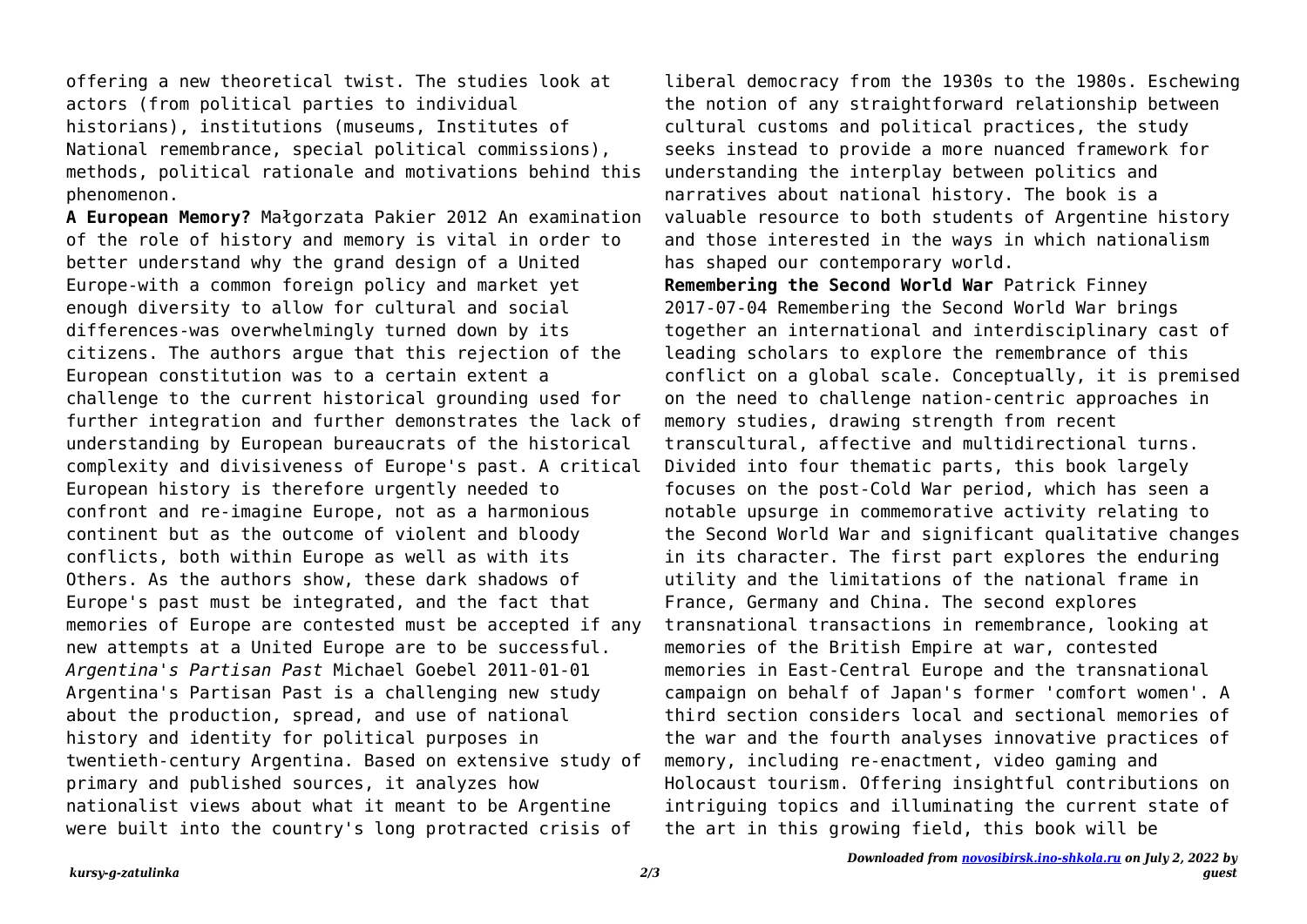offering a new theoretical twist. The studies look at actors (from political parties to individual historians), institutions (museums, Institutes of National remembrance, special political commissions), methods, political rationale and motivations behind this phenomenon.

**A European Memory?** Małgorzata Pakier 2012 An examination of the role of history and memory is vital in order to better understand why the grand design of a United Europe-with a common foreign policy and market yet enough diversity to allow for cultural and social differences-was overwhelmingly turned down by its citizens. The authors argue that this rejection of the European constitution was to a certain extent a challenge to the current historical grounding used for further integration and further demonstrates the lack of understanding by European bureaucrats of the historical complexity and divisiveness of Europe's past. A critical European history is therefore urgently needed to confront and re-imagine Europe, not as a harmonious continent but as the outcome of violent and bloody conflicts, both within Europe as well as with its Others. As the authors show, these dark shadows of Europe's past must be integrated, and the fact that memories of Europe are contested must be accepted if any new attempts at a United Europe are to be successful. *Argentina's Partisan Past* Michael Goebel 2011-01-01 Argentina's Partisan Past is a challenging new study about the production, spread, and use of national history and identity for political purposes in twentieth-century Argentina. Based on extensive study of primary and published sources, it analyzes how nationalist views about what it meant to be Argentine were built into the country's long protracted crisis of

liberal democracy from the 1930s to the 1980s. Eschewing the notion of any straightforward relationship between cultural customs and political practices, the study seeks instead to provide a more nuanced framework for understanding the interplay between politics and narratives about national history. The book is a valuable resource to both students of Argentine history and those interested in the ways in which nationalism has shaped our contemporary world.

**Remembering the Second World War** Patrick Finney 2017-07-04 Remembering the Second World War brings together an international and interdisciplinary cast of leading scholars to explore the remembrance of this conflict on a global scale. Conceptually, it is premised on the need to challenge nation-centric approaches in memory studies, drawing strength from recent transcultural, affective and multidirectional turns. Divided into four thematic parts, this book largely focuses on the post-Cold War period, which has seen a notable upsurge in commemorative activity relating to the Second World War and significant qualitative changes in its character. The first part explores the enduring utility and the limitations of the national frame in France, Germany and China. The second explores transnational transactions in remembrance, looking at memories of the British Empire at war, contested memories in East-Central Europe and the transnational campaign on behalf of Japan's former 'comfort women'. A third section considers local and sectional memories of the war and the fourth analyses innovative practices of memory, including re-enactment, video gaming and Holocaust tourism. Offering insightful contributions on intriguing topics and illuminating the current state of the art in this growing field, this book will be